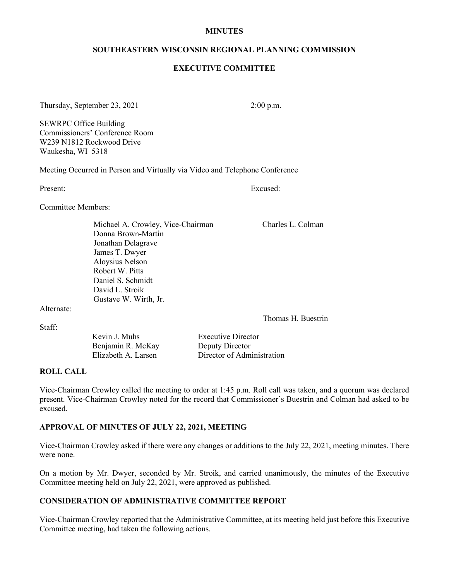#### **MINUTES**

### **SOUTHEASTERN WISCONSIN REGIONAL PLANNING COMMISSION**

### **EXECUTIVE COMMITTEE**

Thursday, September 23, 2021 2:00 p.m.

SEWRPC Office Building Commissioners' Conference Room W239 N1812 Rockwood Drive Waukesha, WI 5318

Meeting Occurred in Person and Virtually via Video and Telephone Conference

Present: Excused:

Committee Members:

Michael A. Crowley, Vice-Chairman Charles L. Colman Donna Brown-Martin Jonathan Delagrave James T. Dwyer Aloysius Nelson Robert W. Pitts Daniel S. Schmidt David L. Stroik Gustave W. Wirth, Jr.

Alternate:

Staff:

Thomas H. Buestrin

| Kevin J. Muhs       | <b>Executive Director</b>  |
|---------------------|----------------------------|
| Benjamin R. McKay   | Deputy Director            |
| Elizabeth A. Larsen | Director of Administration |

### **ROLL CALL**

Vice-Chairman Crowley called the meeting to order at 1:45 p.m. Roll call was taken, and a quorum was declared present. Vice-Chairman Crowley noted for the record that Commissioner's Buestrin and Colman had asked to be excused.

## **APPROVAL OF MINUTES OF JULY 22, 2021, MEETING**

Vice-Chairman Crowley asked if there were any changes or additions to the July 22, 2021, meeting minutes. There were none.

On a motion by Mr. Dwyer, seconded by Mr. Stroik, and carried unanimously, the minutes of the Executive Committee meeting held on July 22, 2021, were approved as published.

## **CONSIDERATION OF ADMINISTRATIVE COMMITTEE REPORT**

Vice-Chairman Crowley reported that the Administrative Committee, at its meeting held just before this Executive Committee meeting, had taken the following actions.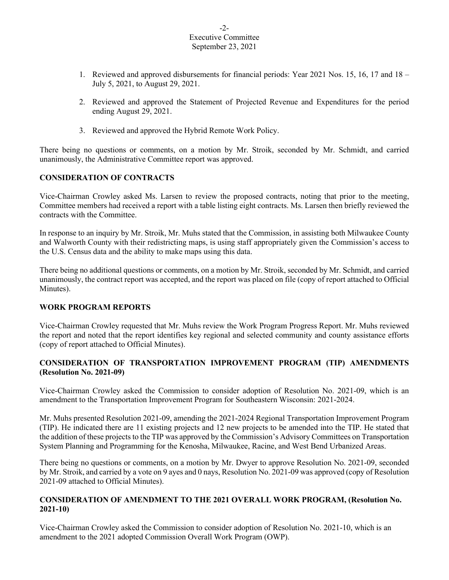### $-2-$ Executive Committee September 23, 2021

- 1. Reviewed and approved disbursements for financial periods: Year 2021 Nos. 15, 16, 17 and 18 July 5, 2021, to August 29, 2021.
- 2. Reviewed and approved the Statement of Projected Revenue and Expenditures for the period ending August 29, 2021.
- 3. Reviewed and approved the Hybrid Remote Work Policy.

There being no questions or comments, on a motion by Mr. Stroik, seconded by Mr. Schmidt, and carried unanimously, the Administrative Committee report was approved.

# **CONSIDERATION OF CONTRACTS**

Vice-Chairman Crowley asked Ms. Larsen to review the proposed contracts, noting that prior to the meeting, Committee members had received a report with a table listing eight contracts. Ms. Larsen then briefly reviewed the contracts with the Committee.

In response to an inquiry by Mr. Stroik, Mr. Muhs stated that the Commission, in assisting both Milwaukee County and Walworth County with their redistricting maps, is using staff appropriately given the Commission's access to the U.S. Census data and the ability to make maps using this data.

There being no additional questions or comments, on a motion by Mr. Stroik, seconded by Mr. Schmidt, and carried unanimously, the contract report was accepted, and the report was placed on file (copy of report attached to Official Minutes).

## **WORK PROGRAM REPORTS**

Vice-Chairman Crowley requested that Mr. Muhs review the Work Program Progress Report. Mr. Muhs reviewed the report and noted that the report identifies key regional and selected community and county assistance efforts (copy of report attached to Official Minutes).

# **CONSIDERATION OF TRANSPORTATION IMPROVEMENT PROGRAM (TIP) AMENDMENTS (Resolution No. 2021-09)**

Vice-Chairman Crowley asked the Commission to consider adoption of Resolution No. 2021-09, which is an amendment to the Transportation Improvement Program for Southeastern Wisconsin: 2021-2024.

Mr. Muhs presented Resolution 2021-09, amending the 2021-2024 Regional Transportation Improvement Program (TIP). He indicated there are 11 existing projects and 12 new projects to be amended into the TIP. He stated that the addition of these projects to the TIP was approved by the Commission's Advisory Committees on Transportation System Planning and Programming for the Kenosha, Milwaukee, Racine, and West Bend Urbanized Areas.

There being no questions or comments, on a motion by Mr. Dwyer to approve Resolution No. 2021-09, seconded by Mr. Stroik, and carried by a vote on 9 ayes and 0 nays, Resolution No. 2021-09 was approved (copy of Resolution 2021-09 attached to Official Minutes).

# **CONSIDERATION OF AMENDMENT TO THE 2021 OVERALL WORK PROGRAM, (Resolution No. 2021-10)**

Vice-Chairman Crowley asked the Commission to consider adoption of Resolution No. 2021-10, which is an amendment to the 2021 adopted Commission Overall Work Program (OWP).